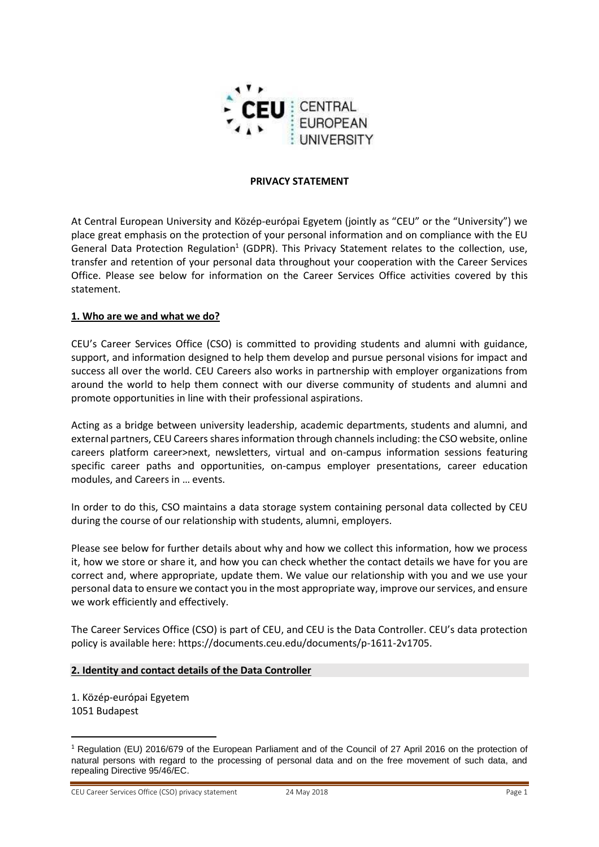

#### **PRIVACY STATEMENT**

At Central European University and Közép-európai Egyetem (jointly as "CEU" or the "University") we place great emphasis on the protection of your personal information and on compliance with the EU General Data Protection Regulation<sup>1</sup> (GDPR). This Privacy Statement relates to the collection, use, transfer and retention of your personal data throughout your cooperation with the Career Services Office. Please see below for information on the Career Services Office activities covered by this statement.

#### **1. Who are we and what we do?**

CEU's Career Services Office (CSO) is committed to providing students and alumni with guidance, support, and information designed to help them develop and pursue personal visions for impact and success all over the world. CEU Careers also works in partnership with employer organizations from around the world to help them connect with our diverse community of students and alumni and promote opportunities in line with their professional aspirations.

Acting as a bridge between university leadership, academic departments, students and alumni, and external partners, CEU Careers shares information through channels including: the CSO website, online careers platform career>next, newsletters, virtual and on-campus information sessions featuring specific career paths and opportunities, on-campus employer presentations, career education modules, and Careers in … events.

In order to do this, CSO maintains a data storage system containing personal data collected by CEU during the course of our relationship with students, alumni, employers.

Please see below for further details about why and how we collect this information, how we process it, how we store or share it, and how you can check whether the contact details we have for you are correct and, where appropriate, update them. We value our relationship with you and we use your personal data to ensure we contact you in the most appropriate way, improve our services, and ensure we work efficiently and effectively.

The Career Services Office (CSO) is part of CEU, and CEU is the Data Controller. CEU's data protection policy is available here: https://documents.ceu.edu/documents/p-1611-2v1705.

### **2. Identity and contact details of the Data Controller**

1. Közép-európai Egyetem 1051 Budapest

j

CEU Career Services Office (CSO) privacy statement 24 May 2018 Page 1

<sup>&</sup>lt;sup>1</sup> Regulation (EU) 2016/679 of the European Parliament and of the Council of 27 April 2016 on the protection of natural persons with regard to the processing of personal data and on the free movement of such data, and repealing Directive 95/46/EC.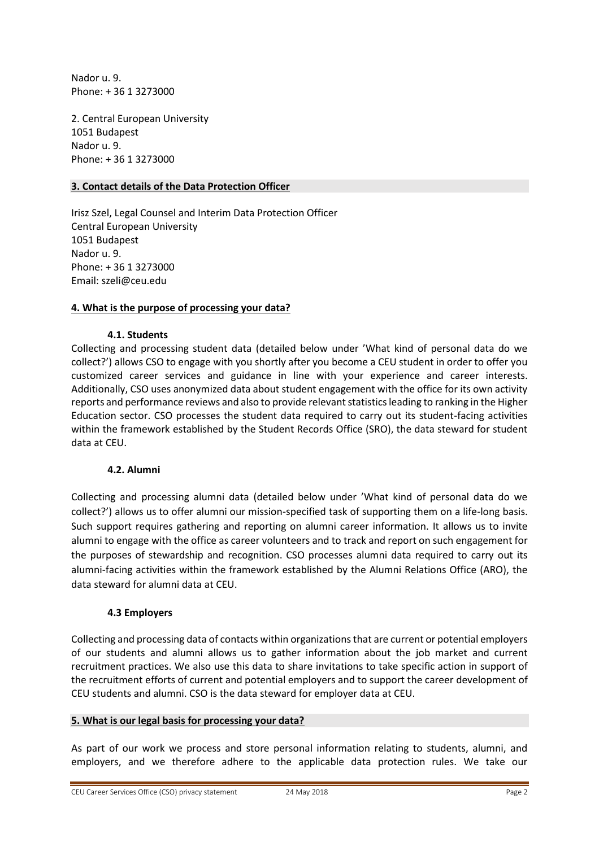Nador u. 9. Phone: + 36 1 3273000

2. Central European University 1051 Budapest Nador u. 9. Phone: + 36 1 3273000

### **3. Contact details of the Data Protection Officer**

Irisz Szel, Legal Counsel and Interim Data Protection Officer Central European University 1051 Budapest Nador u. 9. Phone: + 36 1 3273000 Email: [szeli@ceu.edu](mailto:szeli@ceu.edu)

### **4. What is the purpose of processing your data?**

#### **4.1. Students**

Collecting and processing student data (detailed below under 'What kind of personal data do we collect?') allows CSO to engage with you shortly after you become a CEU student in order to offer you customized career services and guidance in line with your experience and career interests. Additionally, CSO uses anonymized data about student engagement with the office for its own activity reports and performance reviews and also to provide relevant statistics leading to ranking in the Higher Education sector. CSO processes the student data required to carry out its student-facing activities within the framework established by the Student Records Office (SRO), the data steward for student data at CEU.

### **4.2. Alumni**

Collecting and processing alumni data (detailed below under 'What kind of personal data do we collect?') allows us to offer alumni our mission-specified task of supporting them on a life-long basis. Such support requires gathering and reporting on alumni career information. It allows us to invite alumni to engage with the office as career volunteers and to track and report on such engagement for the purposes of stewardship and recognition. CSO processes alumni data required to carry out its alumni-facing activities within the framework established by the Alumni Relations Office (ARO), the data steward for alumni data at CEU.

#### **4.3 Employers**

Collecting and processing data of contacts within organizations that are current or potential employers of our students and alumni allows us to gather information about the job market and current recruitment practices. We also use this data to share invitations to take specific action in support of the recruitment efforts of current and potential employers and to support the career development of CEU students and alumni. CSO is the data steward for employer data at CEU.

#### **5. What is our legal basis for processing your data?**

As part of our work we process and store personal information relating to students, alumni, and employers, and we therefore adhere to the applicable data protection rules. We take our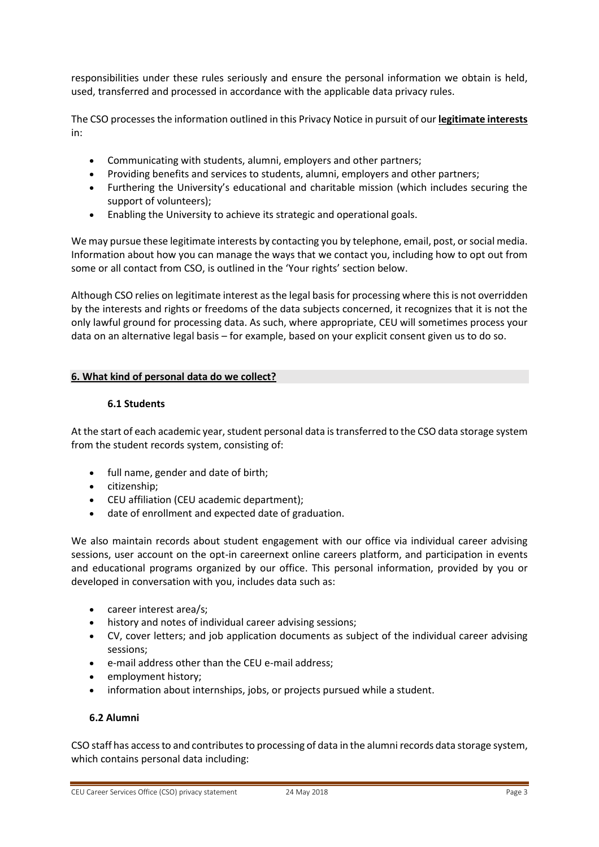responsibilities under these rules seriously and ensure the personal information we obtain is held, used, transferred and processed in accordance with the applicable data privacy rules.

The CSO processes the information outlined in this Privacy Notice in pursuit of our **legitimate interests**  in:

- Communicating with students, alumni, employers and other partners;
- Providing benefits and services to students, alumni, employers and other partners;
- Furthering the University's educational and charitable mission (which includes securing the support of volunteers);
- Enabling the University to achieve its strategic and operational goals.

We may pursue these legitimate interests by contacting you by telephone, email, post, or social media. Information about how you can manage the ways that we contact you, including how to opt out from some or all contact from CSO, is outlined in the 'Your rights' section below.

Although CSO relies on legitimate interest as the legal basis for processing where this is not overridden by the interests and rights or freedoms of the data subjects concerned, it recognizes that it is not the only lawful ground for processing data. As such, where appropriate, CEU will sometimes process your data on an alternative legal basis – for example, based on your explicit consent given us to do so.

# **6. What kind of personal data do we collect?**

# **6.1 Students**

At the start of each academic year, student personal data is transferred to the CSO data storage system from the student records system, consisting of:

- full name, gender and date of birth;
- citizenship;
- CEU affiliation (CEU academic department);
- date of enrollment and expected date of graduation.

We also maintain records about student engagement with our office via individual career advising sessions, user account on the opt-in careernext online careers platform, and participation in events and educational programs organized by our office. This personal information, provided by you or developed in conversation with you, includes data such as:

- career interest area/s;
- history and notes of individual career advising sessions;
- CV, cover letters; and job application documents as subject of the individual career advising sessions;
- e-mail address other than the CEU e-mail address;
- employment history;
- information about internships, jobs, or projects pursued while a student.

# **6.2 Alumni**

CSO staff has access to and contributes to processing of data in the alumni records data storage system, which contains personal data including: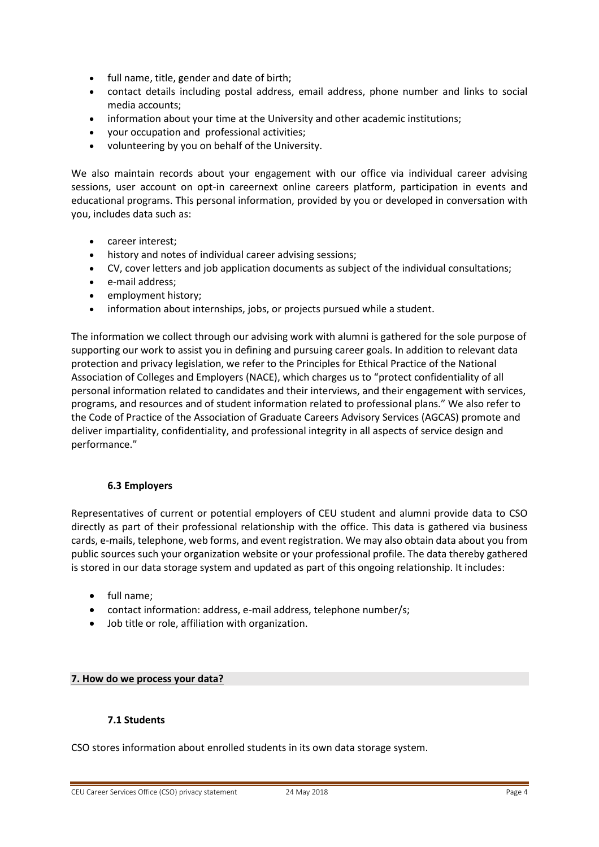- full name, title, gender and date of birth;
- contact details including postal address, email address, phone number and links to social media accounts;
- information about your time at the University and other academic institutions;
- your occupation and professional activities;
- volunteering by you on behalf of the University.

We also maintain records about your engagement with our office via individual career advising sessions, user account on opt-in careernext online careers platform, participation in events and educational programs. This personal information, provided by you or developed in conversation with you, includes data such as:

- career interest;
- history and notes of individual career advising sessions;
- CV, cover letters and job application documents as subject of the individual consultations;
- e-mail address;
- employment history;
- information about internships, jobs, or projects pursued while a student.

The information we collect through our advising work with alumni is gathered for the sole purpose of supporting our work to assist you in defining and pursuing career goals. In addition to relevant data protection and privacy legislation, we refer to the Principles for Ethical Practice of the National Association of Colleges and Employers (NACE), which charges us to "protect confidentiality of all personal information related to candidates and their interviews, and their engagement with services, programs, and resources and of student information related to professional plans." We also refer to the Code of Practice of the Association of Graduate Careers Advisory Services (AGCAS) promote and deliver impartiality, confidentiality, and professional integrity in all aspects of service design and performance."

#### **6.3 Employers**

Representatives of current or potential employers of CEU student and alumni provide data to CSO directly as part of their professional relationship with the office. This data is gathered via business cards, e-mails, telephone, web forms, and event registration. We may also obtain data about you from public sources such your organization website or your professional profile. The data thereby gathered is stored in our data storage system and updated as part of this ongoing relationship. It includes:

- full name;
- contact information: address, e-mail address, telephone number/s;
- Job title or role, affiliation with organization.

#### **7. How do we process your data?**

#### **7.1 Students**

CSO stores information about enrolled students in its own data storage system.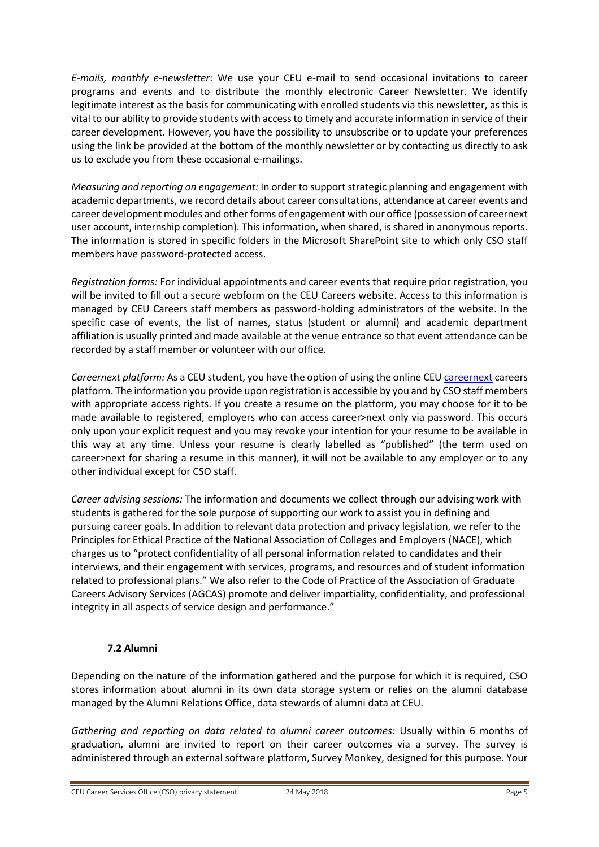*E-mails, monthly e-newsletter*: We use your CEU e-mail to send occasional invitations to career programs and events and to distribute the monthly electronic Career Newsletter. We identify legitimate interest as the basis for communicating with enrolled students via this newsletter, as this is vital to our ability to provide students with access to timely and accurate information in service of their career development. However, you have the possibility to unsubscribe or to update your preferences using the link be provided at the bottom of the monthly newsletter or by contacting us directly to ask us to exclude you from these occasional e-mailings.

*Measuring and reporting on engagement:* In order to support strategic planning and engagement with academic departments, we record details about career consultations, attendance at career events and career development modules and other forms of engagement with our office (possession of careernext user account, internship completion). This information, when shared, is shared in anonymous reports. The information is stored in specific folders in the Microsoft SharePoint site to which only CSO staff members have password-protected access.

*Registration forms:* For individual appointments and career events that require prior registration, you will be invited to fill out a secure webform on the CEU Careers website. Access to this information is managed by CEU Careers staff members as password-holding administrators of the website. In the specific case of events, the list of names, status (student or alumni) and academic department affiliation is usually printed and made available at the venue entrance so that event attendance can be recorded by a staff member or volunteer with our office.

*Careernext platform:* As a CEU student, you have the option of using the online CEU [careernext](https://careernext.ceu.edu/) careers platform. The information you provide upon registration is accessible by you and by CSO staff members with appropriate access rights. If you create a resume on the platform, you may choose for it to be made available to registered, employers who can access career>next only via password. This occurs only upon your explicit request and you may revoke your intention for your resume to be available in this way at any time. Unless your resume is clearly labelled as "published" (the term used on career>next for sharing a resume in this manner), it will not be available to any employer or to any other individual except for CSO staff.

*Career advising sessions:* The information and documents we collect through our advising work with students is gathered for the sole purpose of supporting our work to assist you in defining and pursuing career goals. In addition to relevant data protection and privacy legislation, we refer to the Principles for Ethical Practice of the National Association of Colleges and Employers (NACE), which charges us to "protect confidentiality of all personal information related to candidates and their interviews, and their engagement with services, programs, and resources and of student information related to professional plans." We also refer to the Code of Practice of the Association of Graduate Careers Advisory Services (AGCAS) promote and deliver impartiality, confidentiality, and professional integrity in all aspects of service design and performance."

# **7.2 Alumni**

Depending on the nature of the information gathered and the purpose for which it is required, CSO stores information about alumni in its own data storage system or relies on the alumni database managed by the Alumni Relations Office, data stewards of alumni data at CEU.

*Gathering and reporting on data related to alumni career outcomes:* Usually within 6 months of graduation, alumni are invited to report on their career outcomes via a survey. The survey is administered through an external software platform, Survey Monkey, designed for this purpose. Your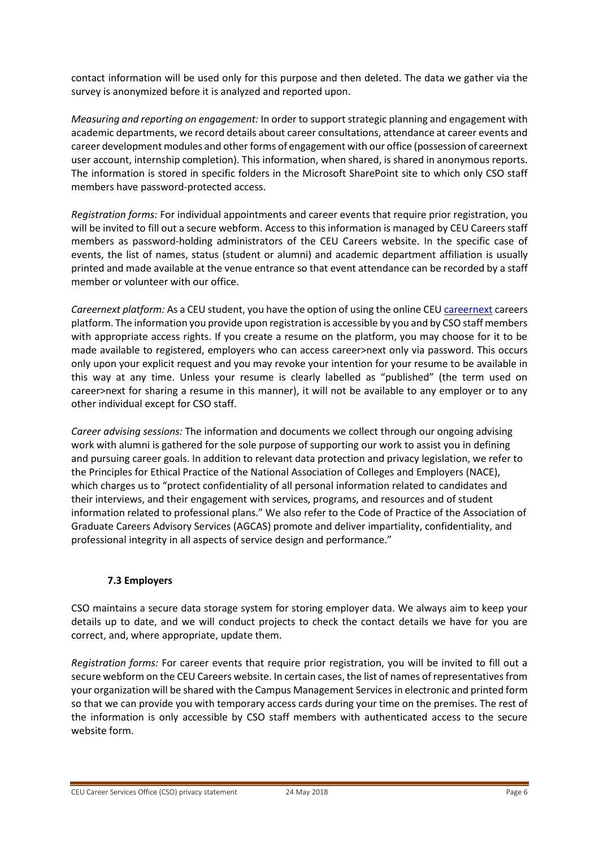contact information will be used only for this purpose and then deleted. The data we gather via the survey is anonymized before it is analyzed and reported upon.

*Measuring and reporting on engagement:* In order to support strategic planning and engagement with academic departments, we record details about career consultations, attendance at career events and career development modules and other forms of engagement with our office (possession of careernext user account, internship completion). This information, when shared, is shared in anonymous reports. The information is stored in specific folders in the Microsoft SharePoint site to which only CSO staff members have password-protected access.

*Registration forms:* For individual appointments and career events that require prior registration, you will be invited to fill out a secure webform. Access to this information is managed by CEU Careers staff members as password-holding administrators of the CEU Careers website. In the specific case of events, the list of names, status (student or alumni) and academic department affiliation is usually printed and made available at the venue entrance so that event attendance can be recorded by a staff member or volunteer with our office.

*Careernext platform:* As a CEU student, you have the option of using the online CEU [careernext](https://careernext.ceu.edu/) careers platform. The information you provide upon registration is accessible by you and by CSO staff members with appropriate access rights. If you create a resume on the platform, you may choose for it to be made available to registered, employers who can access career>next only via password. This occurs only upon your explicit request and you may revoke your intention for your resume to be available in this way at any time. Unless your resume is clearly labelled as "published" (the term used on career>next for sharing a resume in this manner), it will not be available to any employer or to any other individual except for CSO staff.

*Career advising sessions:* The information and documents we collect through our ongoing advising work with alumni is gathered for the sole purpose of supporting our work to assist you in defining and pursuing career goals. In addition to relevant data protection and privacy legislation, we refer to the Principles for Ethical Practice of the National Association of Colleges and Employers (NACE), which charges us to "protect confidentiality of all personal information related to candidates and their interviews, and their engagement with services, programs, and resources and of student information related to professional plans." We also refer to the Code of Practice of the Association of Graduate Careers Advisory Services (AGCAS) promote and deliver impartiality, confidentiality, and professional integrity in all aspects of service design and performance."

# **7.3 Employers**

CSO maintains a secure data storage system for storing employer data. We always aim to keep your details up to date, and we will conduct projects to check the contact details we have for you are correct, and, where appropriate, update them.

*Registration forms:* For career events that require prior registration, you will be invited to fill out a secure webform on the CEU Careers website. In certain cases, the list of names of representatives from your organization will be shared with the Campus Management Services in electronic and printed form so that we can provide you with temporary access cards during your time on the premises. The rest of the information is only accessible by CSO staff members with authenticated access to the secure website form.

CEU Career Services Office (CSO) privacy statement 24 May 2018 Page 6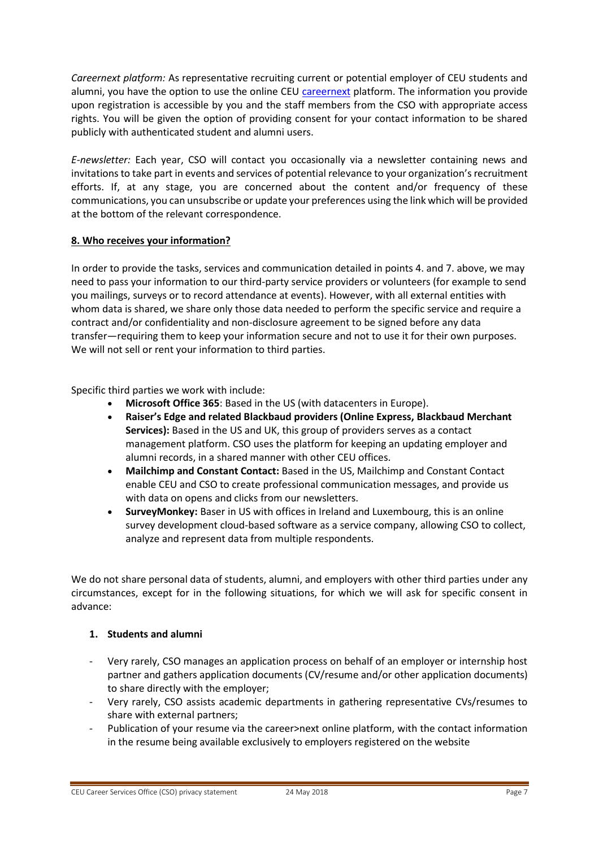*Careernext platform:* As representative recruiting current or potential employer of CEU students and alumni, you have the option to use the online CEU [careernext](https://careernext.ceu.edu/) platform. The information you provide upon registration is accessible by you and the staff members from the CSO with appropriate access rights. You will be given the option of providing consent for your contact information to be shared publicly with authenticated student and alumni users.

*E-newsletter:* Each year, CSO will contact you occasionally via a newsletter containing news and invitations to take part in events and services of potential relevance to your organization's recruitment efforts. If, at any stage, you are concerned about the content and/or frequency of these communications, you can unsubscribe or update your preferences using the link which will be provided at the bottom of the relevant correspondence.

# **8. Who receives your information?**

In order to provide the tasks, services and communication detailed in points 4. and 7. above, we may need to pass your information to our third-party service providers or volunteers (for example to send you mailings, surveys or to record attendance at events). However, with all external entities with whom data is shared, we share only those data needed to perform the specific service and require a contract and/or confidentiality and non-disclosure agreement to be signed before any data transfer—requiring them to keep your information secure and not to use it for their own purposes. We will not sell or rent your information to third parties.

Specific third parties we work with include:

- **Microsoft Office 365**: Based in the US (with datacenters in Europe).
- **Raiser's Edge and related Blackbaud providers (Online Express, Blackbaud Merchant Services):** Based in the US and UK, this group of providers serves as a contact management platform. CSO uses the platform for keeping an updating employer and alumni records, in a shared manner with other CEU offices.
- **Mailchimp and Constant Contact:** Based in the US, Mailchimp and Constant Contact enable CEU and CSO to create professional communication messages, and provide us with data on opens and clicks from our newsletters.
- **SurveyMonkey:** Baser in US with offices in Ireland and Luxembourg, this is an online survey development cloud-based software as a service company, allowing CSO to collect, analyze and represent data from multiple respondents.

We do not share personal data of students, alumni, and employers with other third parties under any circumstances, except for in the following situations, for which we will ask for specific consent in advance:

# **1. Students and alumni**

- Very rarely, CSO manages an application process on behalf of an employer or internship host partner and gathers application documents (CV/resume and/or other application documents) to share directly with the employer;
- Very rarely, CSO assists academic departments in gathering representative CVs/resumes to share with external partners;
- Publication of your resume via the career>next online platform, with the contact information in the resume being available exclusively to employers registered on the website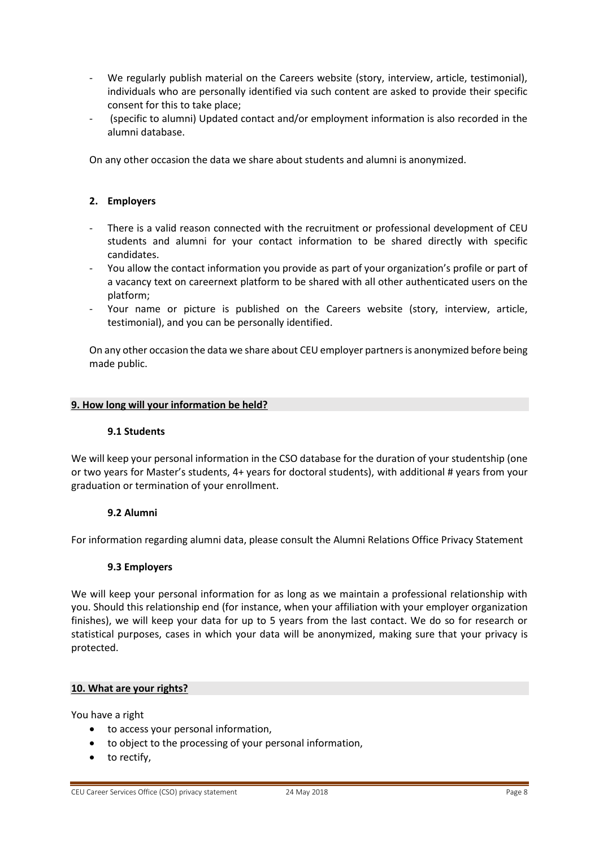- We regularly publish material on the Careers website (story, interview, article, testimonial), individuals who are personally identified via such content are asked to provide their specific consent for this to take place;
- (specific to alumni) Updated contact and/or employment information is also recorded in the alumni database.

On any other occasion the data we share about students and alumni is anonymized.

### **2. Employers**

- There is a valid reason connected with the recruitment or professional development of CEU students and alumni for your contact information to be shared directly with specific candidates.
- You allow the contact information you provide as part of your organization's profile or part of a vacancy text on careernext platform to be shared with all other authenticated users on the platform;
- Your name or picture is published on the Careers website (story, interview, article, testimonial), and you can be personally identified.

On any other occasion the data we share about CEU employer partners is anonymized before being made public.

#### **9. How long will your information be held?**

#### **9.1 Students**

We will keep your personal information in the CSO database for the duration of your studentship (one or two years for Master's students, 4+ years for doctoral students), with additional # years from your graduation or termination of your enrollment.

#### **9.2 Alumni**

For information regarding alumni data, please consult the Alumni Relations Office Privacy Statement

#### **9.3 Employers**

We will keep your personal information for as long as we maintain a professional relationship with you. Should this relationship end (for instance, when your affiliation with your employer organization finishes), we will keep your data for up to 5 years from the last contact. We do so for research or statistical purposes, cases in which your data will be anonymized, making sure that your privacy is protected.

#### **10. What are your rights?**

You have a right

- to access your personal information,
- to object to the processing of your personal information,
- to rectify,